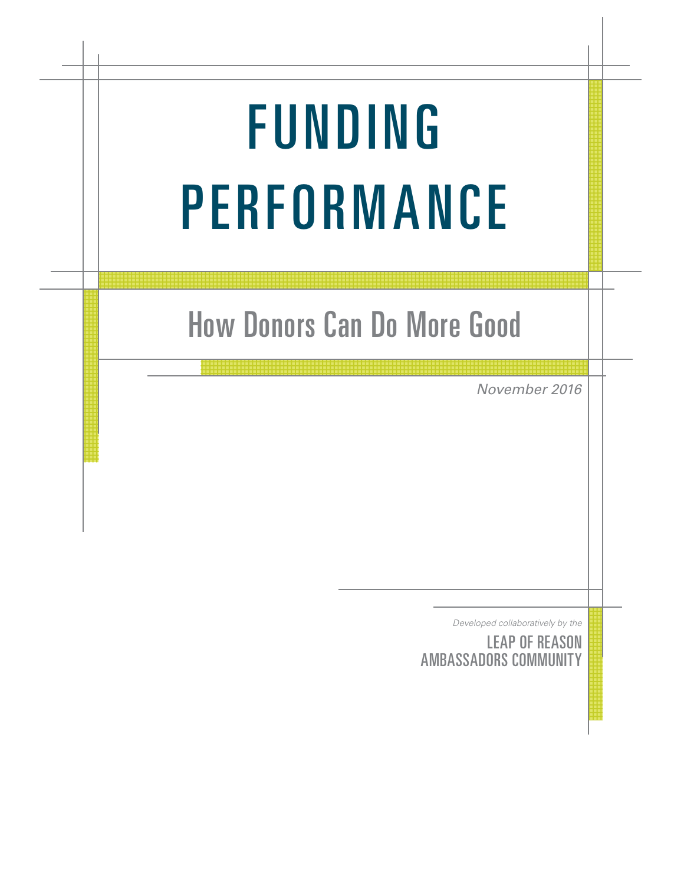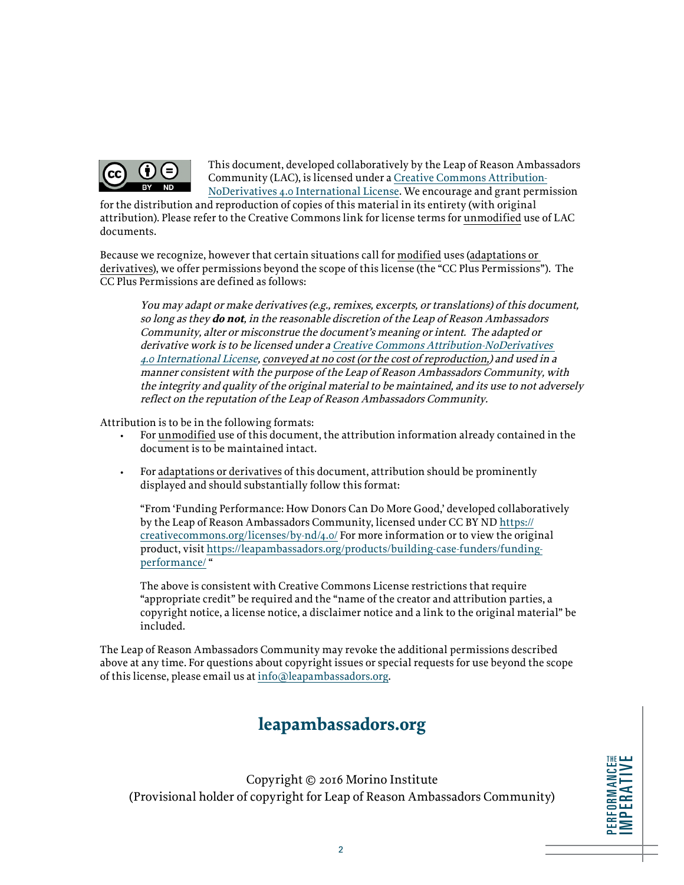

This document, developed collaboratively by the Leap of Reason Ambassadors Community (LAC), is licensed under a [Creative Commons Attribution-](https://creativecommons.org/licenses/by-nd/4.0/)[NoDerivatives 4.0 International License](https://creativecommons.org/licenses/by-nd/4.0/). We encourage and grant permission

for the distribution and reproduction of copies of this material in its entirety (with original attribution). Please refer to the Creative Commons link for license terms for unmodified use of LAC documents.

Because we recognize, however that certain situations call for modified uses (adaptations or derivatives), we offer permissions beyond the scope of this license (the "CC Plus Permissions"). The CC Plus Permissions are defined as follows:

You may adapt or make derivatives (e.g., remixes, excerpts, or translations) of this document, so long as they **do not**, in the reasonable discretion of the Leap of Reason Ambassadors Community, alter or misconstrue the document's meaning or intent. The adapted or derivative work is to be licensed under a [Creative Commons Attribution-NoDerivatives](https://creativecommons.org/licenses/by-nd/4.0/)  [4.0 International License,](https://creativecommons.org/licenses/by-nd/4.0/) conveyed at no cost (or the cost of reproduction,) and used in a manner consistent with the purpose of the Leap of Reason Ambassadors Community, with the integrity and quality of the original material to be maintained, and its use to not adversely reflect on the reputation of the Leap of Reason Ambassadors Community.

Attribution is to be in the following formats:

- For unmodified use of this document, the attribution information already contained in the document is to be maintained intact.
- For adaptations or derivatives of this document, attribution should be prominently displayed and should substantially follow this format:

"From 'Funding Performance: How Donors Can Do More Good,' developed collaboratively by the Leap of Reason Ambassadors Community, licensed under CC BY ND [https://](https://creativecommons.org/licenses/by-nd/4.0/) [creativecommons.org/licenses/by-nd/4.0/](https://creativecommons.org/licenses/by-nd/4.0/) For more information or to view the original product, visit [https://leapambassadors.org/products/building-case-funders/funding](https://leapambassadors.org/products/building-case-funders/funding-performance/)[performance/](https://leapambassadors.org/products/building-case-funders/funding-performance/) "

The above is consistent with Creative Commons License restrictions that require "appropriate credit" be required and the "name of the creator and attribution parties, a copyright notice, a license notice, a disclaimer notice and a link to the original material" be included.

The Leap of Reason Ambassadors Community may revoke the additional permissions described above at any time. For questions about copyright issues or special requests for use beyond the scope of this license, please email us at [info@leapambassadors.org.](mailto:info%40leapambassadors.org?subject=)

### **leapambassadors.org**

Copyright © 2016 Morino Institute (Provisional holder of copyright for Leap of Reason Ambassadors Community)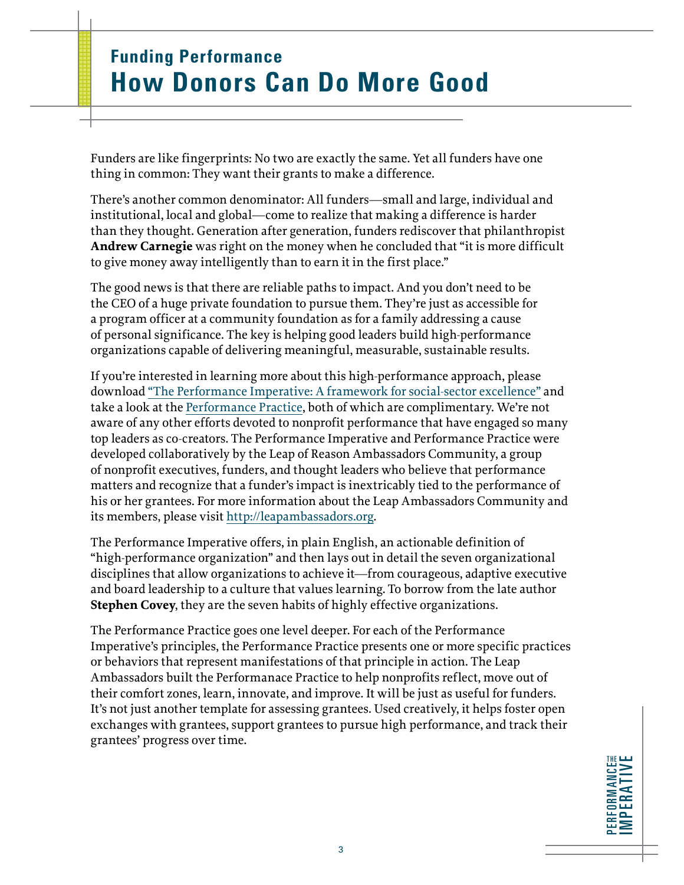# **Funding Performance How Donors Can Do More Good**

Funders are like fingerprints: No two are exactly the same. Yet all funders have one thing in common: They want their grants to make a difference.

There's another common denominator: All funders—small and large, individual and institutional, local and global—come to realize that making a difference is harder than they thought. Generation after generation, funders rediscover that philanthropist **Andrew Carnegie** was right on the money when he concluded that "it is more difficult to give money away intelligently than to earn it in the first place."

The good news is that there are reliable paths to impact. And you don't need to be the CEO of a huge private foundation to pursue them. They're just as accessible for a program officer at a community foundation as for a family addressing a cause of personal significance. The key is helping good leaders build high-performance organizations capable of delivering meaningful, measurable, sustainable results.

If you're interested in learning more about this high-performance approach, please download ["The Performance Imperative: A framework for social-sector excellence"](http://leapambassadors.org/products/performance-imperative/) and take a look at the Performance Practice, both of which are complimentary. We're not aware of any other efforts devoted to nonprofit performance that have engaged so many top leaders as co-creators. The Performance Imperative and Performance Practice were developed collaboratively by the Leap of Reason Ambassadors Community, a group of nonprofit executives, funders, and thought leaders who believe that performance matters and recognize that a funder's impact is inextricably tied to the performance of his or her grantees. For more information about the Leap Ambassadors Community and its members, please visit [http://leapambassadors.org.](http://leapambassadors.org)

The Performance Imperative offers, in plain English, an actionable definition of "high-performance organization" and then lays out in detail the seven organizational disciplines that allow organizations to achieve it—from courageous, adaptive executive and board leadership to a culture that values learning. To borrow from the late author **Stephen Covey**, they are the seven habits of highly effective organizations.

The Performance Practice goes one level deeper. For each of the Performance Imperative's principles, the Performance Practice presents one or more specific practices or behaviors that represent manifestations of that principle in action. The Leap Ambassadors built the Performanace Practice to help nonprofits reflect, move out of their comfort zones, learn, innovate, and improve. It will be just as useful for funders. It's not just another template for assessing grantees. Used creatively, it helps foster open exchanges with grantees, support grantees to pursue high performance, and track their grantees' progress over time.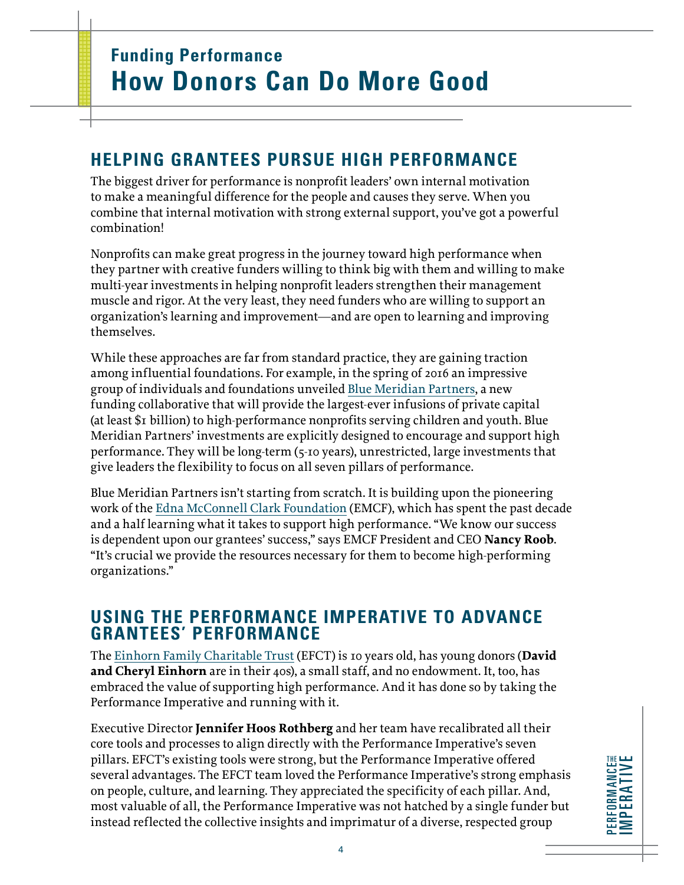#### **HELPING GRANTEES PURSUE HIGH PERFORMANCE**

The biggest driver for performance is nonprofit leaders' own internal motivation to make a meaningful difference for the people and causes they serve. When you combine that internal motivation with strong external support, you've got a powerful combination!

Nonprofits can make great progress in the journey toward high performance when they partner with creative funders willing to think big with them and willing to make multi-year investments in helping nonprofit leaders strengthen their management muscle and rigor. At the very least, they need funders who are willing to support an organization's learning and improvement—and are open to learning and improving themselves.

While these approaches are far from standard practice, they are gaining traction among influential foundations. For example, in the spring of 2016 an impressive group of individuals and foundations unveiled [Blue Meridian Partners](http://www.emcf.org/news-perspectives/story/announcing-blue-meridian-partners-and-more-1/), a new funding collaborative that will provide the largest-ever infusions of private capital (at least \$1 billion) to high-performance nonprofits serving children and youth. Blue Meridian Partners' investments are explicitly designed to encourage and support high performance. They will be long-term (5-10 years), unrestricted, large investments that give leaders the flexibility to focus on all seven pillars of performance.

Blue Meridian Partners isn't starting from scratch. It is building upon the pioneering work of the [Edna McConnell Clark Foundation](http://www.emcf.org/) (EMCF), which has spent the past decade and a half learning what it takes to support high performance. "We know our success is dependent upon our grantees' success," says EMCF President and CEO **Nancy Roob**. "It's crucial we provide the resources necessary for them to become high-performing organizations."

#### **USING THE PERFORMANCE IMPERATIVE TO ADVANCE GRANTEES' PERFORMANCE**

The [Einhorn Family Charitable Trust](http://www.efct.org/) (EFCT) is 10 years old, has young donors (**David and Cheryl Einhorn** are in their 40s), a small staff, and no endowment. It, too, has embraced the value of supporting high performance. And it has done so by taking the Performance Imperative and running with it.

Executive Director **Jennifer Hoos Rothberg** and her team have recalibrated all their core tools and processes to align directly with the Performance Imperative's seven pillars. EFCT's existing tools were strong, but the Performance Imperative offered several advantages. The EFCT team loved the Performance Imperative's strong emphasis on people, culture, and learning. They appreciated the specificity of each pillar. And, most valuable of all, the Performance Imperative was not hatched by a single funder but instead reflected the collective insights and imprimatur of a diverse, respected group

PERFORMANCE IMPERATIVE **PERFORMANCE<sub>N</sub>**<br>IMPERATIVE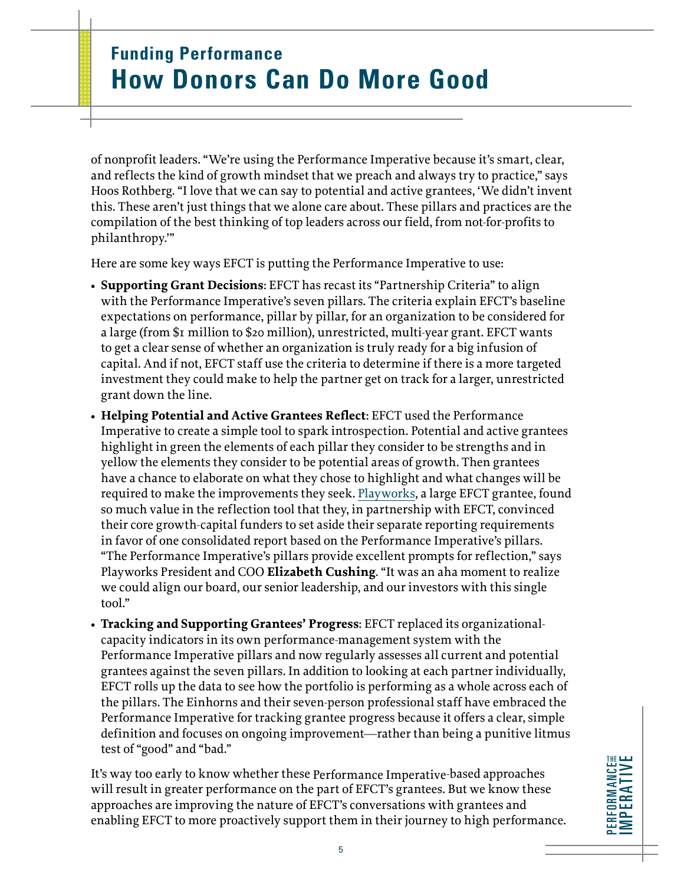# **Funding Performance How Donors Can Do More Good**

of nonprofit leaders. "We're using the Performance Imperative because it's smart, clear, and reflects the kind of growth mindset that we preach and always try to practice," says Hoos Rothberg. "I love that we can say to potential and active grantees, 'We didn't invent this. These aren't just things that we alone care about. These pillars and practices are the compilation of the best thinking of top leaders across our field, from not-for-profits to philanthropy.'"

Here are some key ways EFCT is putting the Performance Imperative to use:

- **• Supporting Grant Decisions**: EFCT has recast its "Partnership Criteria" to align with the Performance Imperative's seven pillars. The criteria explain EFCT's baseline expectations on performance, pillar by pillar, for an organization to be considered for a large (from \$1 million to \$20 million), unrestricted, multi-year grant. EFCT wants to get a clear sense of whether an organization is truly ready for a big infusion of capital. And if not, EFCT staff use the criteria to determine if there is a more targeted investment they could make to help the partner get on track for a larger, unrestricted grant down the line.
- **• Helping Potential and Active Grantees Reflect**: EFCT used the Performance Imperative to create a simple tool to spark introspection. Potential and active grantees highlight in green the elements of each pillar they consider to be strengths and in yellow the elements they consider to be potential areas of growth. Then grantees have a chance to elaborate on what they chose to highlight and what changes will be required to make the improvements they seek. [Playworks,](http://www.playworks.org/) a large EFCT grantee, found so much value in the reflection tool that they, in partnership with EFCT, convinced their core growth-capital funders to set aside their separate reporting requirements in favor of one consolidated report based on the Performance Imperative's pillars. "The Performance Imperative's pillars provide excellent prompts for reflection," says Playworks President and COO **Elizabeth Cushing**. "It was an aha moment to realize we could align our board, our senior leadership, and our investors with this single tool."
- **• Tracking and Supporting Grantees' Progress**: EFCT replaced its organizationalcapacity indicators in its own performance-management system with the Performance Imperative pillars and now regularly assesses all current and potential grantees against the seven pillars. In addition to looking at each partner individually, EFCT rolls up the data to see how the portfolio is performing as a whole across each of the pillars. The Einhorns and their seven-person professional staff have embraced the Performance Imperative for tracking grantee progress because it offers a clear, simple definition and focuses on ongoing improvement—rather than being a punitive litmus test of "good" and "bad."

It's way too early to know whether these Performance Imperative-based approaches will result in greater performance on the part of EFCT's grantees. But we know these approaches are improving the nature of EFCT's conversations with grantees and enabling EFCT to more proactively support them in their journey to high performance.

PERFORMANCE IMPERATIVE **PERFORMANCE<sub>N</sub>**<br>IMPERATIVE